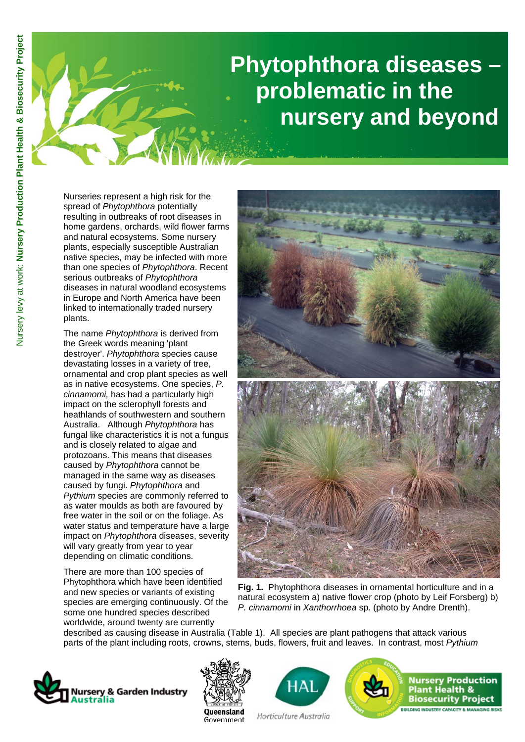# **Phytophthora diseases – problematic in the nursery and beyond**

Nurseries represent a high risk for the spread of *Phytophthora* potentially resulting in outbreaks of root diseases in home gardens, orchards, wild flower farms and natural ecosystems. Some nursery plants, especially susceptible Australian native species, may be infected with more than one species of *Phytophthora*. Recent serious outbreaks of *Phytophthora*  diseases in natural woodland ecosystems in Europe and North America have been linked to internationally traded nursery plants.

The name *Phytophthora* is derived from the Greek words meaning 'plant destroyer'. *Phytophthora* species cause devastating losses in a variety of tree, ornamental and crop plant species as well as in native ecosystems. One species, *P. cinnamomi,* has had a particularly high impact on the sclerophyll forests and heathlands of southwestern and southern Australia. Although *Phytophthora* has fungal like characteristics it is not a fungus and is closely related to algae and protozoans. This means that diseases caused by *Phytophthora* cannot be managed in the same way as diseases caused by fungi. *Phytophthora* and *Pythium* species are commonly referred to as water moulds as both are favoured by free water in the soil or on the foliage. As water status and temperature have a large impact on *Phytophthora* diseases, severity will vary greatly from year to year depending on climatic conditions.

There are more than 100 species of Phytophthora which have been identified and new species or variants of existing species are emerging continuously. Of the some one hundred species described worldwide, around twenty are currently



**Fig. 1.** Phytophthora diseases in ornamental horticulture and in a natural ecosystem a) native flower crop (photo by Leif Forsberg) b) *P. cinnamomi* in *Xanthorrhoea* sp. (photo by Andre Drenth).

described as causing disease in Australia (Table 1). All species are plant pathogens that attack various parts of the plant including roots, crowns, stems, buds, flowers, fruit and leaves. In contrast, most *Pythium* 







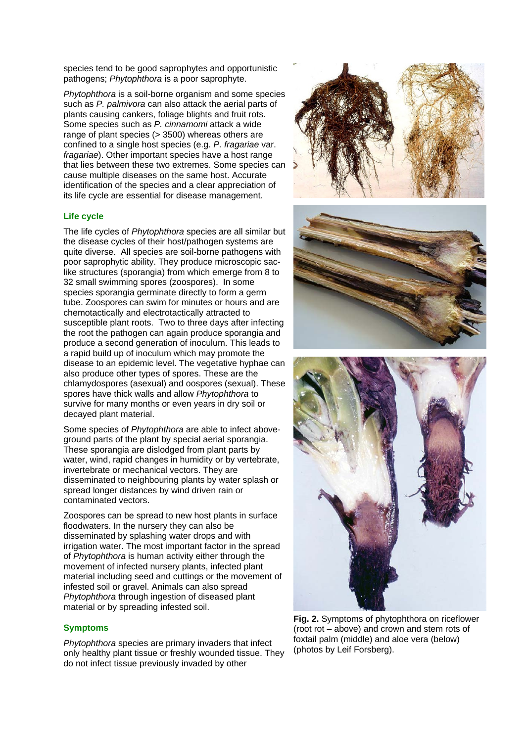species tend to be good saprophytes and opportunistic pathogens; *Phytophthora* is a poor saprophyte.

*Phytophthora* is a soil-borne organism and some species such as *P. palmivora* can also attack the aerial parts of plants causing cankers, foliage blights and fruit rots. Some species such as *P. cinnamomi* attack a wide range of plant species (> 3500) whereas others are confined to a single host species (e.g. *P. fragariae* var. *fragariae*). Other important species have a host range that lies between these two extremes. Some species can cause multiple diseases on the same host. Accurate identification of the species and a clear appreciation of its life cycle are essential for disease management.

## **Life cycle**

The life cycles of *Phytophthora* species are all similar but the disease cycles of their host/pathogen systems are quite diverse. All species are soil-borne pathogens with poor saprophytic ability. They produce microscopic saclike structures (sporangia) from which emerge from 8 to 32 small swimming spores (zoospores). In some species sporangia germinate directly to form a germ tube. Zoospores can swim for minutes or hours and are chemotactically and electrotactically attracted to susceptible plant roots. Two to three days after infecting the root the pathogen can again produce sporangia and produce a second generation of inoculum. This leads to a rapid build up of inoculum which may promote the disease to an epidemic level. The vegetative hyphae can also produce other types of spores. These are the chlamydospores (asexual) and oospores (sexual). These spores have thick walls and allow *Phytophthora* to survive for many months or even years in dry soil or decayed plant material.

Some species of *Phytophthora* are able to infect aboveground parts of the plant by special aerial sporangia. These sporangia are dislodged from plant parts by water, wind, rapid changes in humidity or by vertebrate, invertebrate or mechanical vectors. They are disseminated to neighbouring plants by water splash or spread longer distances by wind driven rain or contaminated vectors.

Zoospores can be spread to new host plants in surface floodwaters. In the nursery they can also be disseminated by splashing water drops and with irrigation water. The most important factor in the spread of *Phytophthora* is human activity either through the movement of infected nursery plants, infected plant material including seed and cuttings or the movement of infested soil or gravel. Animals can also spread *Phytophthora* through ingestion of diseased plant material or by spreading infested soil.

### **Symptoms**

*Phytophthora* species are primary invaders that infect only healthy plant tissue or freshly wounded tissue. They do not infect tissue previously invaded by other



**Fig. 2.** Symptoms of phytophthora on riceflower (root rot – above) and crown and stem rots of foxtail palm (middle) and aloe vera (below) (photos by Leif Forsberg).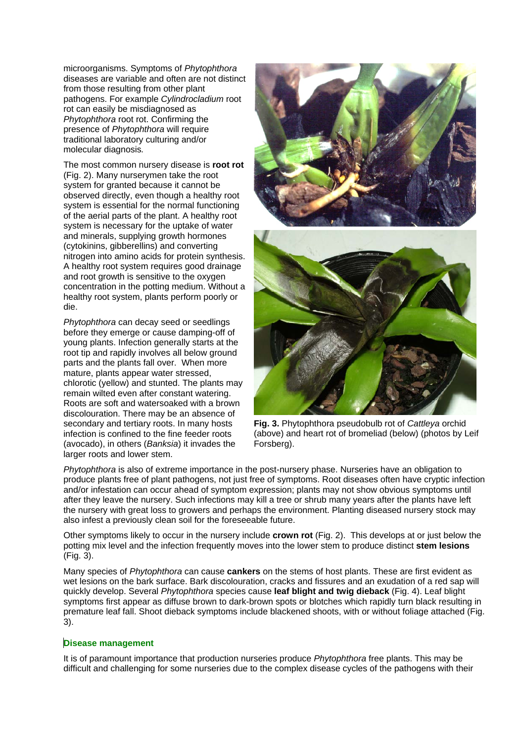microorganisms. Symptoms of *Phytophthora* diseases are variable and often are not distinct from those resulting from other plant pathogens. For example *Cylindrocladium* root rot can easily be misdiagnosed as *Phytophthora* root rot. Confirming the presence of *Phytophthora* will require traditional laboratory culturing and/or molecular diagnosis*.* 

The most common nursery disease is **root rot**  (Fig. 2). Many nurserymen take the root system for granted because it cannot be observed directly, even though a healthy root system is essential for the normal functioning of the aerial parts of the plant. A healthy root system is necessary for the uptake of water and minerals, supplying growth hormones (cytokinins, gibberellins) and converting nitrogen into amino acids for protein synthesis. A healthy root system requires good drainage and root growth is sensitive to the oxygen concentration in the potting medium. Without a healthy root system, plants perform poorly or die.

*Phytophthora* can decay seed or seedlings before they emerge or cause damping-off of young plants. Infection generally starts at the root tip and rapidly involves all below ground parts and the plants fall over. When more mature, plants appear water stressed, chlorotic (yellow) and stunted. The plants may remain wilted even after constant watering. Roots are soft and watersoaked with a brown discolouration. There may be an absence of secondary and tertiary roots. In many hosts infection is confined to the fine feeder roots (avocado), in others (*Banksia*) it invades the larger roots and lower stem.



**Fig. 3.** Phytophthora pseudobulb rot of *Cattleya* orchid (above) and heart rot of bromeliad (below) (photos by Leif Forsberg).

*Phytophthora* is also of extreme importance in the post-nursery phase. Nurseries have an obligation to produce plants free of plant pathogens, not just free of symptoms. Root diseases often have cryptic infection and/or infestation can occur ahead of symptom expression; plants may not show obvious symptoms until after they leave the nursery. Such infections may kill a tree or shrub many years after the plants have left the nursery with great loss to growers and perhaps the environment. Planting diseased nursery stock may also infest a previously clean soil for the foreseeable future.

Other symptoms likely to occur in the nursery include **crown rot** (Fig. 2).This develops at or just below the potting mix level and the infection frequently moves into the lower stem to produce distinct **stem lesions**  (Fig. 3).

Many species of *Phytophthora* can cause **cankers** on the stems of host plants. These are first evident as wet lesions on the bark surface. Bark discolouration, cracks and fissures and an exudation of a red sap will quickly develop. Several *Phytophthora* species cause **leaf blight and twig dieback** (Fig. 4). Leaf blight symptoms first appear as diffuse brown to dark-brown spots or blotches which rapidly turn black resulting in premature leaf fall. Shoot dieback symptoms include blackened shoots, with or without foliage attached (Fig. 3).

#### **Disease management**

It is of paramount importance that production nurseries produce *Phytophthora* free plants. This may be difficult and challenging for some nurseries due to the complex disease cycles of the pathogens with their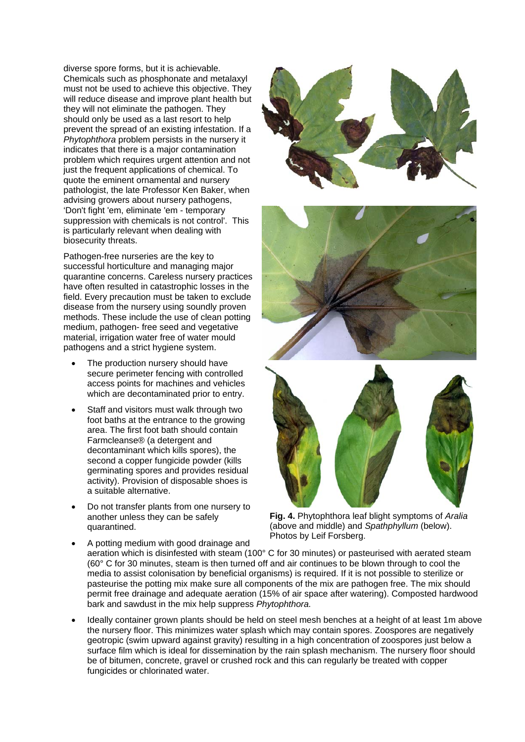diverse spore forms, but it is achievable. Chemicals such as phosphonate and metalaxyl must not be used to achieve this objective. They will reduce disease and improve plant health but they will not eliminate the pathogen. They should only be used as a last resort to help prevent the spread of an existing infestation. If a *Phytophthora* problem persists in the nursery it indicates that there is a major contamination problem which requires urgent attention and not just the frequent applications of chemical. To quote the eminent ornamental and nursery pathologist, the late Professor Ken Baker, when advising growers about nursery pathogens, 'Don't fight 'em, eliminate 'em - temporary suppression with chemicals is not control'. This is particularly relevant when dealing with biosecurity threats.

Pathogen-free nurseries are the key to successful horticulture and managing major quarantine concerns. Careless nursery practices have often resulted in catastrophic losses in the field. Every precaution must be taken to exclude disease from the nursery using soundly proven methods. These include the use of clean potting medium, pathogen- free seed and vegetative material, irrigation water free of water mould pathogens and a strict hygiene system.

- The production nursery should have secure perimeter fencing with controlled access points for machines and vehicles which are decontaminated prior to entry.
- Staff and visitors must walk through two foot baths at the entrance to the growing area. The first foot bath should contain Farmcleanse® (a detergent and decontaminant which kills spores), the second a copper fungicide powder (kills germinating spores and provides residual activity). Provision of disposable shoes is a suitable alternative.
- Do not transfer plants from one nursery to another unless they can be safely quarantined.







**Fig. 4.** Phytophthora leaf blight symptoms of *Aralia* (above and middle) and *Spathphyllum* (below). Photos by Leif Forsberg.

- A potting medium with good drainage and aeration which is disinfested with steam (100° C for 30 minutes) or pasteurised with aerated steam (60° C for 30 minutes, steam is then turned off and air continues to be blown through to cool the media to assist colonisation by beneficial organisms) is required. If it is not possible to sterilize or pasteurise the potting mix make sure all components of the mix are pathogen free. The mix should permit free drainage and adequate aeration (15% of air space after watering). Composted hardwood bark and sawdust in the mix help suppress *Phytophthora.*
- Ideally container grown plants should be held on steel mesh benches at a height of at least 1m above the nursery floor. This minimizes water splash which may contain spores. Zoospores are negatively geotropic (swim upward against gravity) resulting in a high concentration of zoospores just below a surface film which is ideal for dissemination by the rain splash mechanism. The nursery floor should be of bitumen, concrete, gravel or crushed rock and this can regularly be treated with copper fungicides or chlorinated water.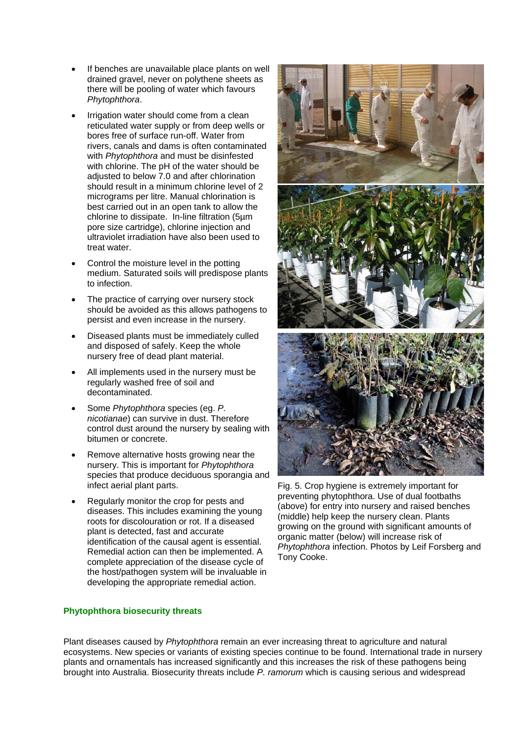- If benches are unavailable place plants on well drained gravel, never on polythene sheets as there will be pooling of water which favours *Phytophthora*.
- Irrigation water should come from a clean reticulated water supply or from deep wells or bores free of surface run-off. Water from rivers, canals and dams is often contaminated with *Phytophthora* and must be disinfested with chlorine. The pH of the water should be adjusted to below 7.0 and after chlorination should result in a minimum chlorine level of 2 micrograms per litre. Manual chlorination is best carried out in an open tank to allow the chlorine to dissipate. In-line filtration (5µm pore size cartridge), chlorine injection and ultraviolet irradiation have also been used to treat water.
- Control the moisture level in the potting medium. Saturated soils will predispose plants to infection.
- The practice of carrying over nursery stock should be avoided as this allows pathogens to persist and even increase in the nursery.
- Diseased plants must be immediately culled and disposed of safely. Keep the whole nursery free of dead plant material.
- All implements used in the nursery must be regularly washed free of soil and decontaminated.
- Some *Phytophthora* species (eg. *P. nicotianae*) can survive in dust. Therefore control dust around the nursery by sealing with bitumen or concrete.
- Remove alternative hosts growing near the nursery. This is important for *Phytophthora*  species that produce deciduous sporangia and infect aerial plant parts.
- Regularly monitor the crop for pests and diseases. This includes examining the young roots for discolouration or rot. If a diseased plant is detected, fast and accurate identification of the causal agent is essential. Remedial action can then be implemented. A complete appreciation of the disease cycle of the host/pathogen system will be invaluable in developing the appropriate remedial action.

## **Phytophthora biosecurity threats**



Fig. 5. Crop hygiene is extremely important for preventing phytophthora. Use of dual footbaths (above) for entry into nursery and raised benches (middle) help keep the nursery clean. Plants growing on the ground with significant amounts of organic matter (below) will increase risk of *Phytophthora* infection. Photos by Leif Forsberg and Tony Cooke.

Plant diseases caused by *Phytophthora* remain an ever increasing threat to agriculture and natural ecosystems. New species or variants of existing species continue to be found. International trade in nursery plants and ornamentals has increased significantly and this increases the risk of these pathogens being brought into Australia. Biosecurity threats include *P. ramorum* which is causing serious and widespread